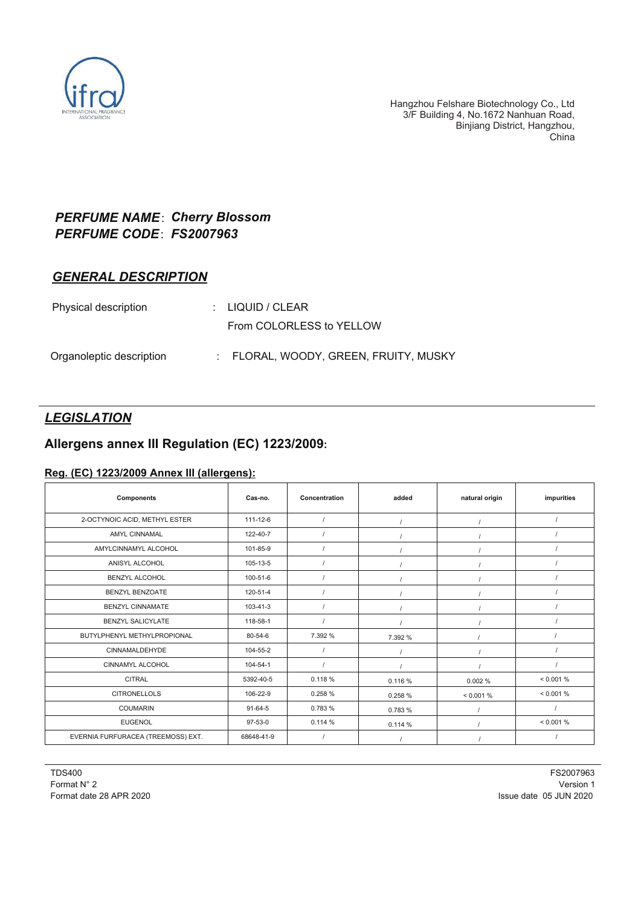

## *PERFUME NAME*:*Cherry Blossom PERFUME CODE*:*FS2007963*

### *GENERAL DESCRIPTION*

| Physical description     | $\therefore$ LIQUID / CLEAR           |
|--------------------------|---------------------------------------|
|                          | From COLORLESS to YELLOW              |
| Organoleptic description | : FLORAL, WOODY, GREEN, FRUITY, MUSKY |

# *LEGISLATION*

## **Allergens annex III Regulation (EC) 1223/2009:**

#### **Reg. (EC) 1223/2009 Annex III (allergens):**

| <b>Components</b>                  | Cas no.       | Concentration | added   | natural origin | impurities |
|------------------------------------|---------------|---------------|---------|----------------|------------|
| 2-OCTYNOIC ACID, METHYL ESTER      | 111-12-6      |               |         |                |            |
| <b>AMYL CINNAMAL</b>               | 122-40-7      |               |         |                |            |
| AMYLCINNAMYL ALCOHOL               | 101-85-9      |               |         |                |            |
| ANISYL ALCOHOL                     | 105-13-5      |               |         |                |            |
| <b>BENZYL ALCOHOL</b>              | 100-51-6      |               |         |                |            |
| BENZYL BENZOATE                    | 120-51-4      |               |         |                |            |
| <b>BENZYL CINNAMATE</b>            | 103-41-3      |               |         |                |            |
| <b>BENZYL SALICYLATE</b>           | 118-58-1      |               |         |                |            |
| BUTYLPHENYL METHYLPROPIONAL        | 80-54-6       | 7.392 %       | 7.392 % |                |            |
| <b>CINNAMALDEHYDE</b>              | 104-55-2      |               |         |                |            |
| <b>CINNAMYL ALCOHOL</b>            | 104-54-1      |               |         |                |            |
| <b>CITRAL</b>                      | 5392-40-5     | 0.118 %       | 0.116 % | 0.002%         | < 0.001 %  |
| <b>CITRONELLOLS</b>                | 106-22-9      | 0.258%        | 0.258%  | < 0.001 %      | < 0.001 %  |
| <b>COUMARIN</b>                    | $91 - 64 - 5$ | 0.783 %       | 0.783 % |                |            |
| <b>EUGENOL</b>                     | 97-53-0       | 0.114%        | 0.114%  |                | < 0.001 %  |
| EVERNIA FURFURACEA (TREEMOSS) EXT. | 68648-41-9    |               |         |                |            |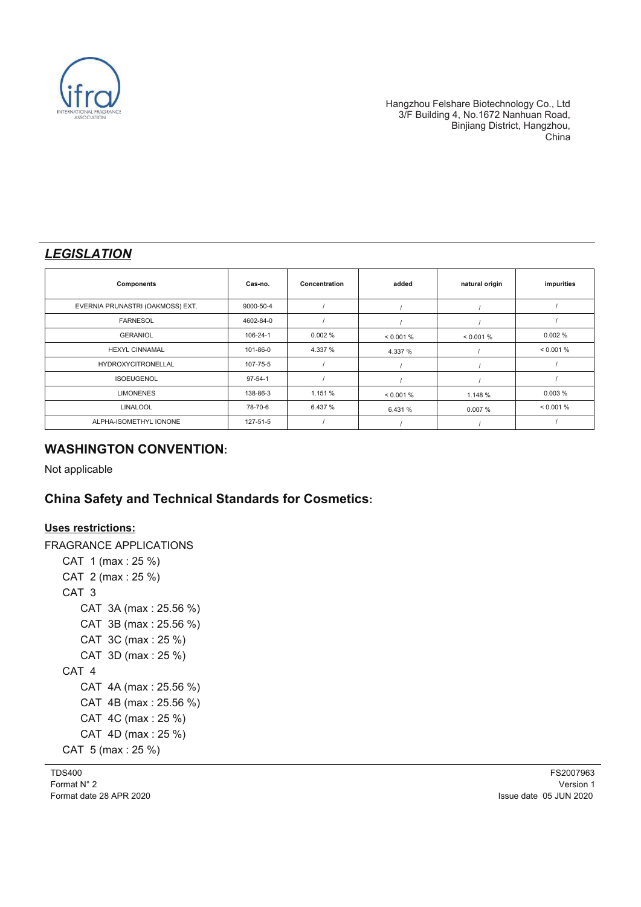

## *LEGISLATION*

| <b>Components</b>                | Cas-no.       | Concentration | added     | natural origin | impurities |
|----------------------------------|---------------|---------------|-----------|----------------|------------|
| EVERNIA PRUNASTRI (OAKMOSS) EXT. | 9000-50-4     |               |           |                |            |
| <b>FARNESOL</b>                  | 4602-84-0     |               |           |                |            |
| <b>GERANIOL</b>                  | 106-24-1      | 0.002%        | < 0.001 % | $< 0.001\%$    | 0.002%     |
| <b>HEXYL CINNAMAL</b>            | 101-86-0      | 4.337 %       | 4.337 %   |                | < 0.001 %  |
| HYDROXYCITRONELLAL               | 107-75-5      |               |           |                |            |
| <b>ISOEUGENOL</b>                | $97 - 54 - 1$ |               |           |                |            |
| <b>LIMONENES</b>                 | 138-86-3      | 1.151 %       | < 0.001 % | 1.148 %        | 0.003%     |
| <b>LINALOOL</b>                  | 78-70-6       | 6.437 %       | 6.431 %   | 0.007%         | < 0.001 %  |
| ALPHA-ISOMETHYL IONONE           | 127-51-5      |               |           |                |            |

## **WASHINGTON CONVENTION:**

Not applicable

# **China Safety and Technical Standards for Cosmetics:**

#### **Uses restrictions:**

FRAGRANCE APPLICATIONS CAT 1 (max : 25 %) CAT 2 (max : 25 %) CAT 3 CAT 3A (max : 25.56 %) CAT 3B (max : 25.56 %) CAT 3C (max : 25 %) CAT 3D (max : 25 %) CAT 4 CAT 4A (max : 25.56 %) CAT 4B (max : 25.56 %) CAT 4C (max : 25 %) CAT 4D (max : 25 %) CAT 5 (max : 25 %)

TDS400 Format N° 2 Format date 28 APR 2020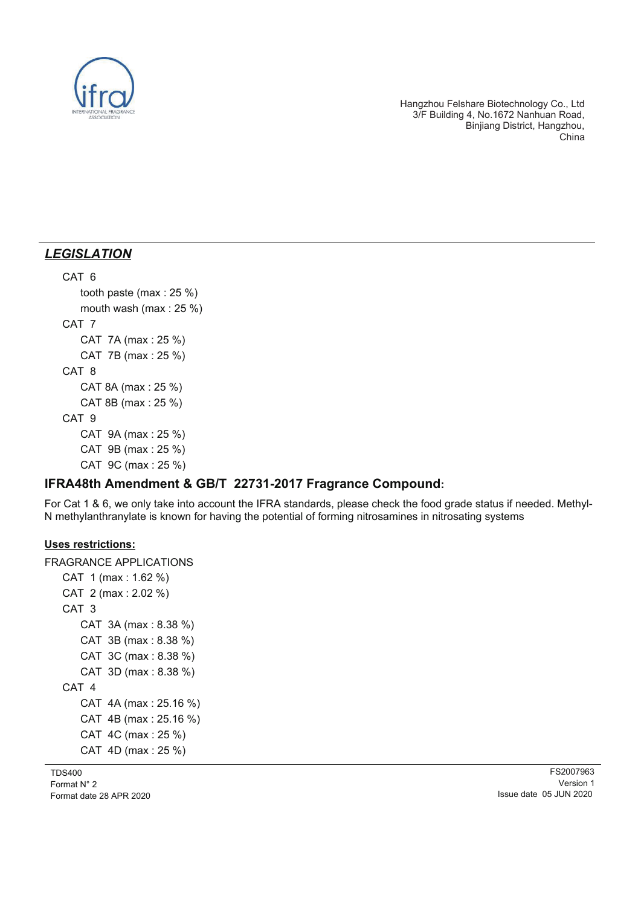

## *LEGISLATION*

#### CAT 6 tooth paste (max : 25 %)

 mouth wash (max : 25 %) CAT 7 CAT 7A (max : 25 %) CAT 7B (max : 25 %) CAT 8 CAT 8A (max : 25 %) CAT 8B (max : 25 %) CAT 9 CAT 9A (max : 25 %)

 CAT 9B (max : 25 %) CAT 9C (max : 25 %)

## **IFRA48th Amendment & GB/T 22731-2017 Fragrance Compound:**

For Cat 1 & 6, we only take into account the IFRA standards, please check the food grade status if needed. Methyl-N methylanthranylate is known for having the potential of forming nitrosamines in nitrosating systems

### **Uses restrictions:**

FRAGRANCE APPLICATIONS CAT 1 (max : 1.62 %) CAT 2 (max : 2.02 %) CAT 3 CAT 3A (max : 8.38 %) CAT 3B (max : 8.38 %) CAT 3C (max : 8.38 %) CAT 3D (max : 8.38 %) CAT 4 CAT 4A (max : 25.16 %) CAT 4B (max : 25.16 %) CAT 4C (max : 25 %) CAT 4D (max : 25 %)

TDS400 Format N° 2 Format date 28 APR 2020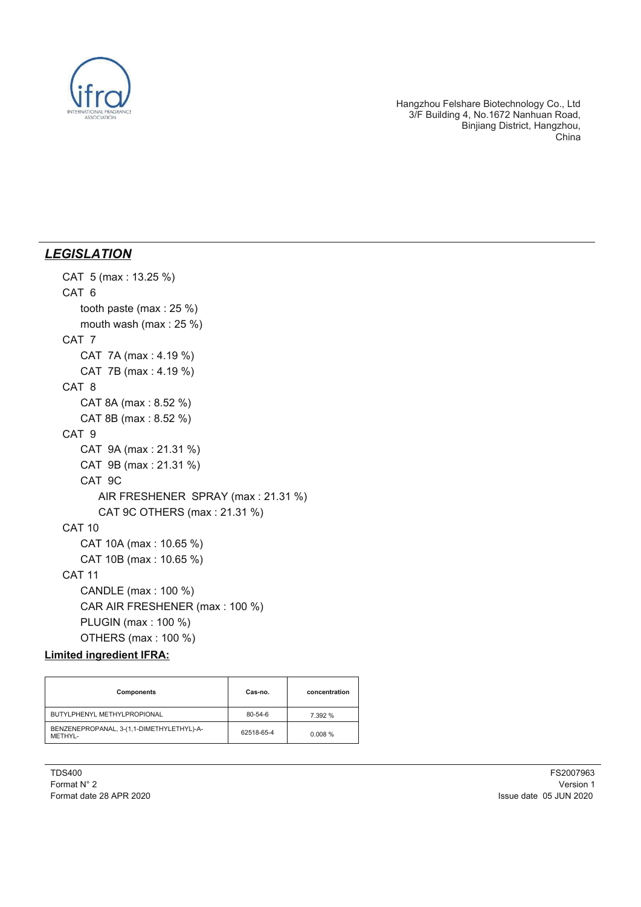

### *LEGISLATION*

```
 CAT 5 (max : 13.25 %)
CAT 6
   tooth paste (max : 25 %)
   mouth wash (max : 25 %)
CAT 7
   CAT 7A (max : 4.19 %)
   CAT 7B (max : 4.19 %)
CAT 8
   CAT 8A (max : 8.52 %)
   CAT 8B (max : 8.52 %)
CAT 9
   CAT 9A (max : 21.31 %)
   CAT 9B (max : 21.31 %)
   CAT 9C
      AIR FRESHENER SPRAY (max : 21.31 %)
      CAT 9C OTHERS (max : 21.31 %)
CAT 10
   CAT 10A (max : 10.65 %)
   CAT 10B (max : 10.65 %)
CAT 11
   CANDLE (max : 100 %)
   CAR AIR FRESHENER (max : 100 %)
   PLUGIN (max : 100 %)
   OTHERS (max : 100 %)
```
### **Limited ingredient IFRA:**

| Components                                           | Cas-no.       | concentration |
|------------------------------------------------------|---------------|---------------|
| BUTYLPHENYL METHYLPROPIONAL                          | $80 - 54 - 6$ | 7.392 %       |
| BENZENEPROPANAL, 3-(1,1-DIMETHYLETHYL)-A-<br>METHYL- | 62518-65-4    | 0.008%        |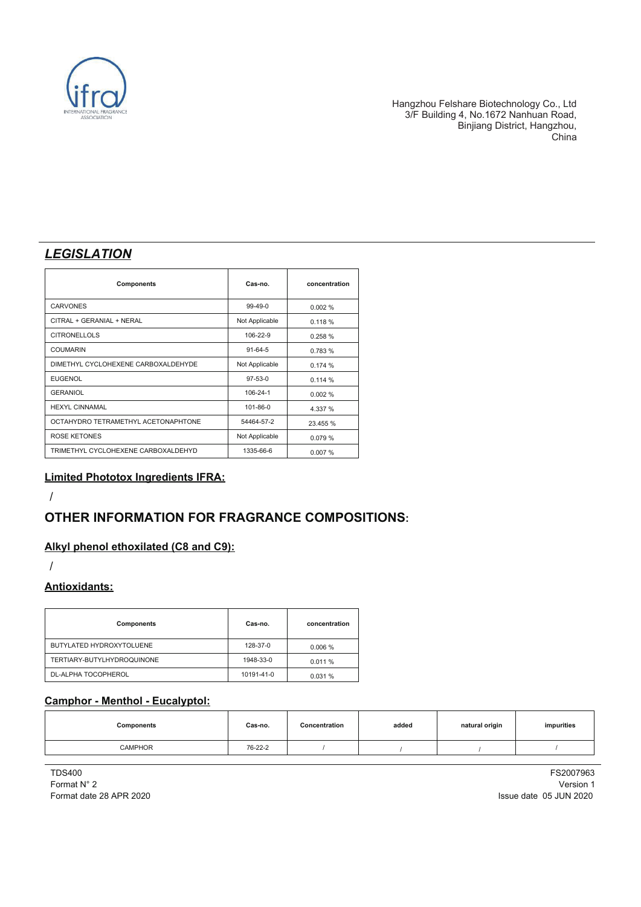

## *LEGISLATION*

| <b>Components</b>                   | Cas-no.        | concentration |
|-------------------------------------|----------------|---------------|
| <b>CARVONES</b>                     | $99-49-0$      | 0.002%        |
| CITRAL + GERANIAL + NERAL           | Not Applicable | 0.118%        |
| <b>CITRONELLOLS</b>                 | 106-22-9       | 0.258 %       |
| <b>COUMARIN</b>                     | $91 - 64 - 5$  | 0.783 %       |
| DIMETHYL CYCLOHEXENE CARBOXALDEHYDE | Not Applicable | 0.174%        |
| <b>EUGENOL</b>                      | 97-53-0        | 0.114%        |
| <b>GERANIOL</b>                     | 106-24-1       | 0.002%        |
| <b>HEXYL CINNAMAL</b>               | 101-86-0       | 4.337 %       |
| OCTAHYDRO TETRAMETHYL ACETONAPHTONE | 54464-57-2     | 23.455 %      |
| <b>ROSE KETONES</b>                 | Not Applicable | 0.079%        |
| TRIMETHYL CYCLOHEXENE CARBOXALDEHYD | 1335-66-6      | 0.007%        |

#### **Limited Phototox Ingredients IFRA:**

/

## **OTHER INFORMATION FOR FRAGRANCE COMPOSITIONS:**

#### **Alkyl phenol ethoxilated (C8 and C9):**

/

#### **Antioxidants:**

| <b>Components</b>          | Cas-no.    | concentration |
|----------------------------|------------|---------------|
| BUTYLATED HYDROXYTOLUENE   | 128-37-0   | 0.006%        |
| TERTIARY-BUTYLHYDROQUINONE | 1948-33-0  | 0.011%        |
| DL-ALPHA TOCOPHEROL        | 10191-41-0 | 0.031%        |

#### **Camphor - Menthol - Eucalyptol:**

| Components     | Cas-no. | Concentration | added | natural origin | impurities |
|----------------|---------|---------------|-------|----------------|------------|
| <b>CAMPHOR</b> | 76-22-2 |               |       |                |            |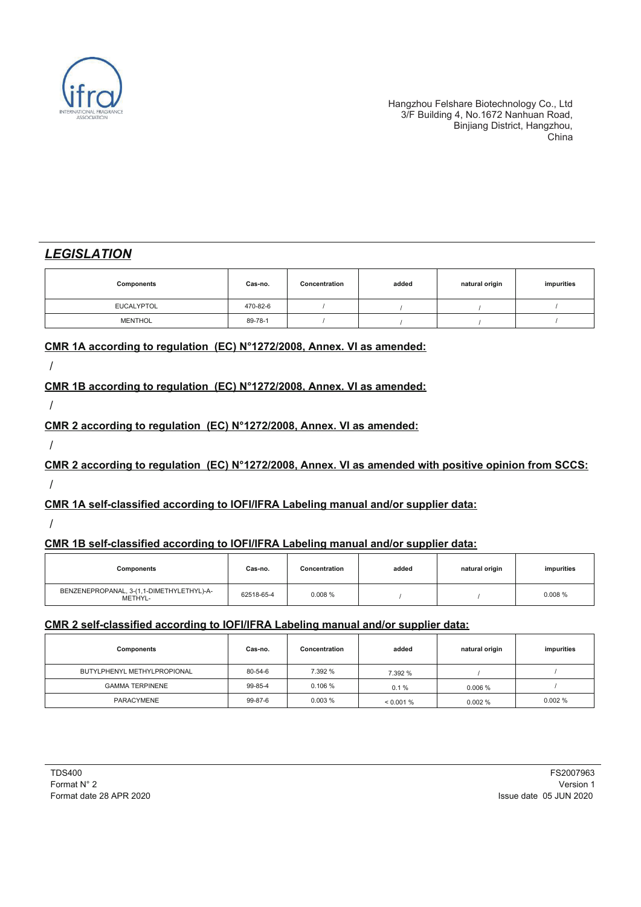

## *LEGISLATION*

| Components        | Cas-no.  | Concentration | added | natural origin | impurities |
|-------------------|----------|---------------|-------|----------------|------------|
| <b>EUCALYPTOL</b> | 470-82-6 |               |       |                |            |
| <b>MENTHOL</b>    | 89-78-1  |               |       |                |            |

#### **CMR 1A according to regulation (EC) N°1272/2008, Annex. VI as amended:**

/

### **CMR 1B according to regulation (EC) N°1272/2008, Annex. VI as amended:**

/

### **CMR 2 according to regulation (EC) N°1272/2008, Annex. VI as amended:**

/

**CMR 2 according to regulation (EC) N°1272/2008, Annex. VI as amended with positive opinion from SCCS:** /

### **CMR 1A self-classified according to IOFI/IFRA Labeling manual and/or supplier data:**

/

### **CMR 1B self-classified according to IOFI/IFRA Labeling manual and/or supplier data:**

| Components                                           | Cas-no.    | Concentration | added | natural origin | impurities |
|------------------------------------------------------|------------|---------------|-------|----------------|------------|
| BENZENEPROPANAL, 3-(1,1-DIMETHYLETHYL)-A-<br>METHYL- | 62518-65-4 | 0.008%        |       |                | 0.008%     |

#### **CMR 2 self-classified according to IOFI/IFRA Labeling manual and/or supplier data:**

| Components                  | Cas-no. | Concentration | added       | natural origin | impurities |
|-----------------------------|---------|---------------|-------------|----------------|------------|
| BUTYLPHENYL METHYLPROPIONAL | 80-54-6 | 7.392 %       | 7.392 %     |                |            |
| <b>GAMMA TERPINENE</b>      | 99-85-4 | 0.106%        | 0.1%        | 0.006%         |            |
| PARACYMENE                  | 99-87-6 | 0.003%        | $< 0.001\%$ | 0.002%         | 0.002%     |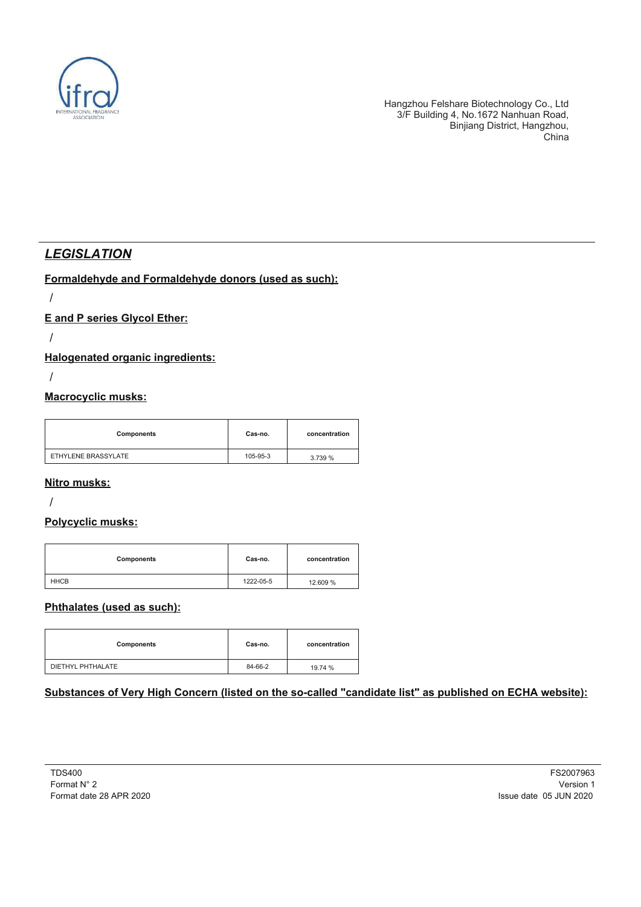

## *LEGISLATION*

#### **Formaldehyde and Formaldehyde donors (used as such):**

/

### **E and P series Glycol Ether:**

/

### **Halogenated organic ingredients:**

/

#### **Macrocyclic musks:**

| Components          | Cas-no.  | concentration |
|---------------------|----------|---------------|
| ETHYLENE BRASSYLATE | 105-95-3 | 3.739 %       |

#### **Nitro musks:**

/

### **Polycyclic musks:**

| Components  | Cas-no.   | concentration |
|-------------|-----------|---------------|
| <b>HHCB</b> | 1222-05-5 | 12.609 %      |

### **Phthalates (used as such):**

| Components        | Cas-no. | concentration |
|-------------------|---------|---------------|
| DIETHYL PHTHALATE | 84-66-2 | 19.74 %       |

### **Substances of Very High Concern (listed on the so-called "candidate list" as published on ECHA website):**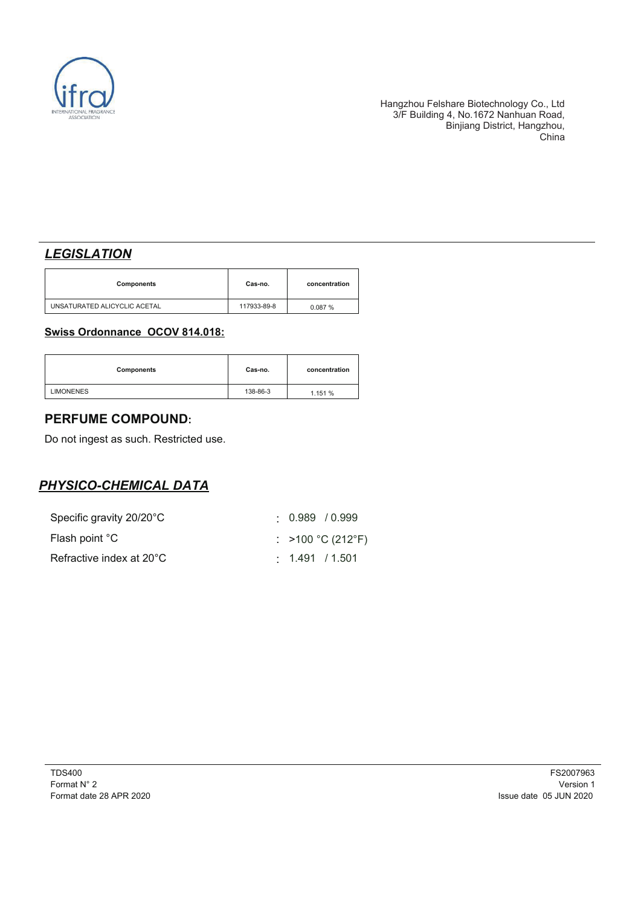

## *LEGISLATION*

| Components                   | Cas-no.     | concentration |
|------------------------------|-------------|---------------|
| UNSATURATED ALICYCLIC ACETAL | 117933-89-8 | 0.087%        |

#### **Swiss Ordonnance OCOV 814.018:**

| Components       | Cas-no.  | concentration |
|------------------|----------|---------------|
| <b>LIMONENES</b> | 138-86-3 | 1.151 %       |

## **PERFUME COMPOUND:**

Do not ingest as such. Restricted use.

## *PHYSICO-CHEMICAL DATA*

| Specific gravity 20/20°C | $0.989$ / $0.999$     |
|--------------------------|-----------------------|
| Flash point °C           | : >100 °C (212°F)     |
| Refractive index at 20°C | $\cdot$ 1.491 / 1.501 |